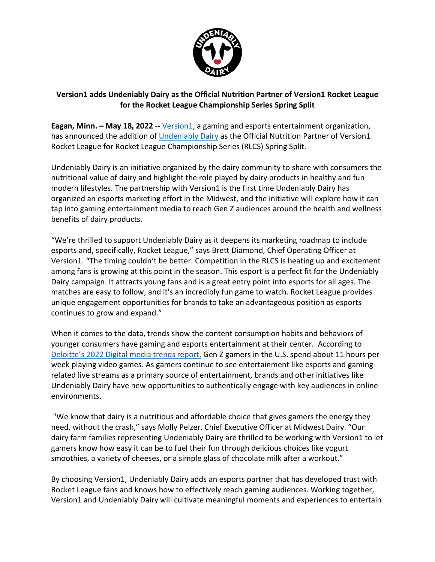

## **Version1 adds Undeniably Dairy as the Official Nutrition Partner of Version1 Rocket League for the Rocket League Championship Series Spring Split**

**Eagan, Minn. – May 18, 2022** -- Version1, a gaming and esports entertainment organization, has announced the addition of Undeniably Dairy as the Official Nutrition Partner of Version1 Rocket League for Rocket League Championship Series (RLCS) Spring Split.

Undeniably Dairy is an initiative organized by the dairy community to share with consumers the nutritional value of dairy and highlight the role played by dairy products in healthy and fun modern lifestyles. The partnership with Version1 is the first time Undeniably Dairy has organized an esports marketing effort in the Midwest, and the initiative will explore how it can tap into gaming entertainment media to reach Gen Z audiences around the health and wellness benefits of dairy products.

"We're thrilled to support Undeniably Dairy as it deepens its marketing roadmap to include esports and, specifically, Rocket League," says Brett Diamond, Chief Operating Officer at Version1. "The timing couldn't be better. Competition in the RLCS is heating up and excitement among fans is growing at this point in the season. This esport is a perfect fit for the Undeniably Dairy campaign. It attracts young fans and is a great entry point into esports for all ages. The matches are easy to follow, and it's an incredibly fun game to watch. Rocket League provides unique engagement opportunities for brands to take an advantageous position as esports continues to grow and expand."

When it comes to the data, trends show the content consumption habits and behaviors of younger consumers have gaming and esports entertainment at their center. According to Deloitte's 2022 Digital media trends report, Gen Z gamers in the U.S. spend about 11 hours per week playing video games. As gamers continue to see entertainment like esports and gamingrelated live streams as a primary source of entertainment, brands and other initiatives like Undeniably Dairy have new opportunities to authentically engage with key audiences in online environments.

"We know that dairy is a nutritious and affordable choice that gives gamers the energy they need, without the crash," says Molly Pelzer, Chief Executive Officer at Midwest Dairy. "Our dairy farm families representing Undeniably Dairy are thrilled to be working with Version1 to let gamers know how easy it can be to fuel their fun through delicious choices like yogurt smoothies, a variety of cheeses, or a simple glass of chocolate milk after a workout."

By choosing Version1, Undeniably Dairy adds an esports partner that has developed trust with Rocket League fans and knows how to effectively reach gaming audiences. Working together, Version1 and Undeniably Dairy will cultivate meaningful moments and experiences to entertain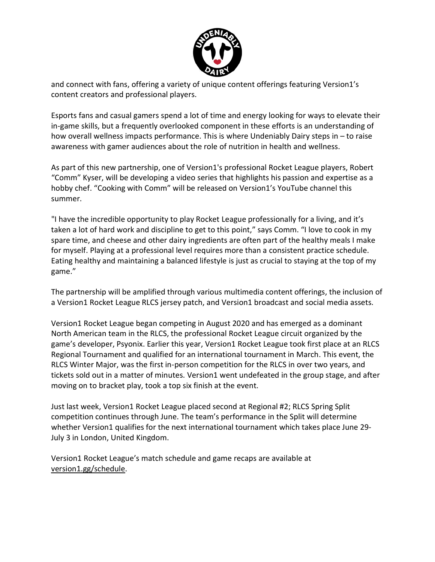

and connect with fans, offering a variety of unique content offerings featuring Version1's content creators and professional players.

Esports fans and casual gamers spend a lot of time and energy looking for ways to elevate their in-game skills, but a frequently overlooked component in these efforts is an understanding of how overall wellness impacts performance. This is where Undeniably Dairy steps in – to raise awareness with gamer audiences about the role of nutrition in health and wellness.

As part of this new partnership, one of Version1's professional Rocket League players, Robert "Comm" Kyser, will be developing a video series that highlights his passion and expertise as a hobby chef. "Cooking with Comm" will be released on Version1's YouTube channel this summer.

"I have the incredible opportunity to play Rocket League professionally for a living, and it's taken a lot of hard work and discipline to get to this point," says Comm. "I love to cook in my spare time, and cheese and other dairy ingredients are often part of the healthy meals I make for myself. Playing at a professional level requires more than a consistent practice schedule. Eating healthy and maintaining a balanced lifestyle is just as crucial to staying at the top of my game."

The partnership will be amplified through various multimedia content offerings, the inclusion of a Version1 Rocket League RLCS jersey patch, and Version1 broadcast and social media assets.

Version1 Rocket League began competing in August 2020 and has emerged as a dominant North American team in the RLCS, the professional Rocket League circuit organized by the game's developer, Psyonix. Earlier this year, Version1 Rocket League took first place at an RLCS Regional Tournament and qualified for an international tournament in March. This event, the RLCS Winter Major, was the first in-person competition for the RLCS in over two years, and tickets sold out in a matter of minutes. Version1 went undefeated in the group stage, and after moving on to bracket play, took a top six finish at the event.

Just last week, Version1 Rocket League placed second at Regional #2; RLCS Spring Split competition continues through June. The team's performance in the Split will determine whether Version1 qualifies for the next international tournament which takes place June 29- July 3 in London, United Kingdom.

Version1 Rocket League's match schedule and game recaps are available at version1.gg/schedule.